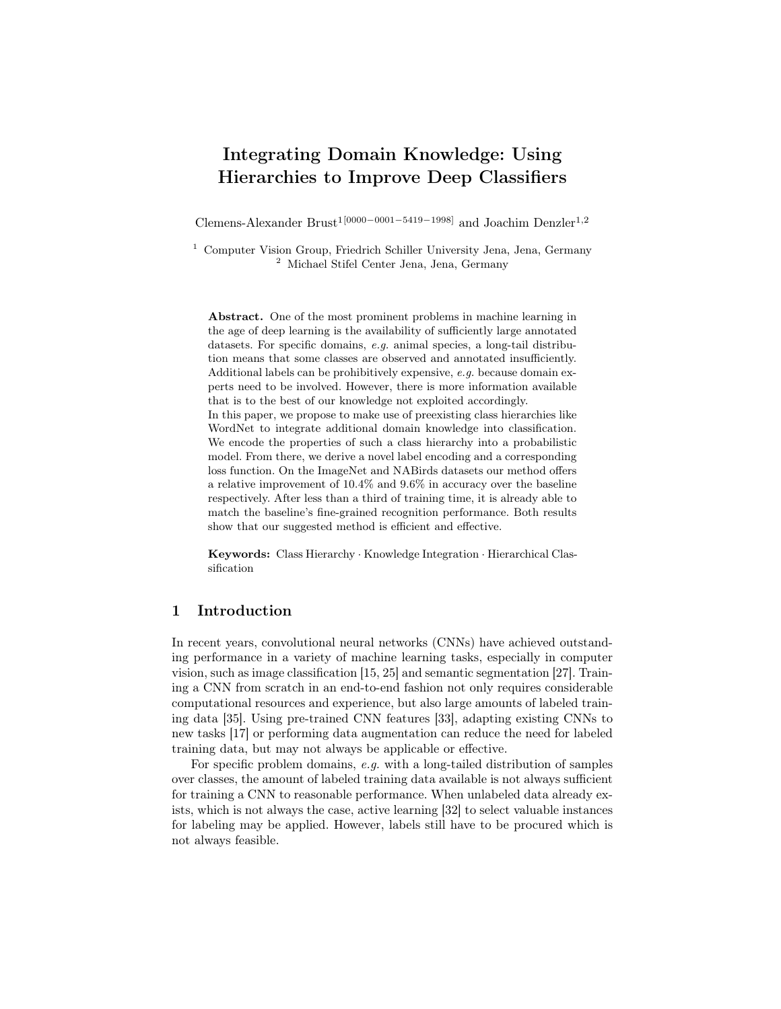# Integrating Domain Knowledge: Using Hierarchies to Improve Deep Classifiers

Clemens-Alexander Brust<sup>1[0000–0001–5419–1998]</sup> and Joachim Denzler<sup>1,2</sup>

<sup>1</sup> Computer Vision Group, Friedrich Schiller University Jena, Jena, Germany <sup>2</sup> Michael Stifel Center Jena, Jena, Germany

Abstract. One of the most prominent problems in machine learning in the age of deep learning is the availability of sufficiently large annotated datasets. For specific domains, e.g. animal species, a long-tail distribution means that some classes are observed and annotated insufficiently. Additional labels can be prohibitively expensive, e.g. because domain experts need to be involved. However, there is more information available that is to the best of our knowledge not exploited accordingly. In this paper, we propose to make use of preexisting class hierarchies like WordNet to integrate additional domain knowledge into classification. We encode the properties of such a class hierarchy into a probabilistic model. From there, we derive a novel label encoding and a corresponding loss function. On the ImageNet and NABirds datasets our method offers a relative improvement of 10.4% and 9.6% in accuracy over the baseline respectively. After less than a third of training time, it is already able to match the baseline's fine-grained recognition performance. Both results show that our suggested method is efficient and effective.

Keywords: Class Hierarchy · Knowledge Integration · Hierarchical Classification

# 1 Introduction

In recent years, convolutional neural networks (CNNs) have achieved outstanding performance in a variety of machine learning tasks, especially in computer vision, such as image classification [15, 25] and semantic segmentation [27]. Training a CNN from scratch in an end-to-end fashion not only requires considerable computational resources and experience, but also large amounts of labeled training data [35]. Using pre-trained CNN features [33], adapting existing CNNs to new tasks [17] or performing data augmentation can reduce the need for labeled training data, but may not always be applicable or effective.

For specific problem domains, e.g. with a long-tailed distribution of samples over classes, the amount of labeled training data available is not always sufficient for training a CNN to reasonable performance. When unlabeled data already exists, which is not always the case, active learning [32] to select valuable instances for labeling may be applied. However, labels still have to be procured which is not always feasible.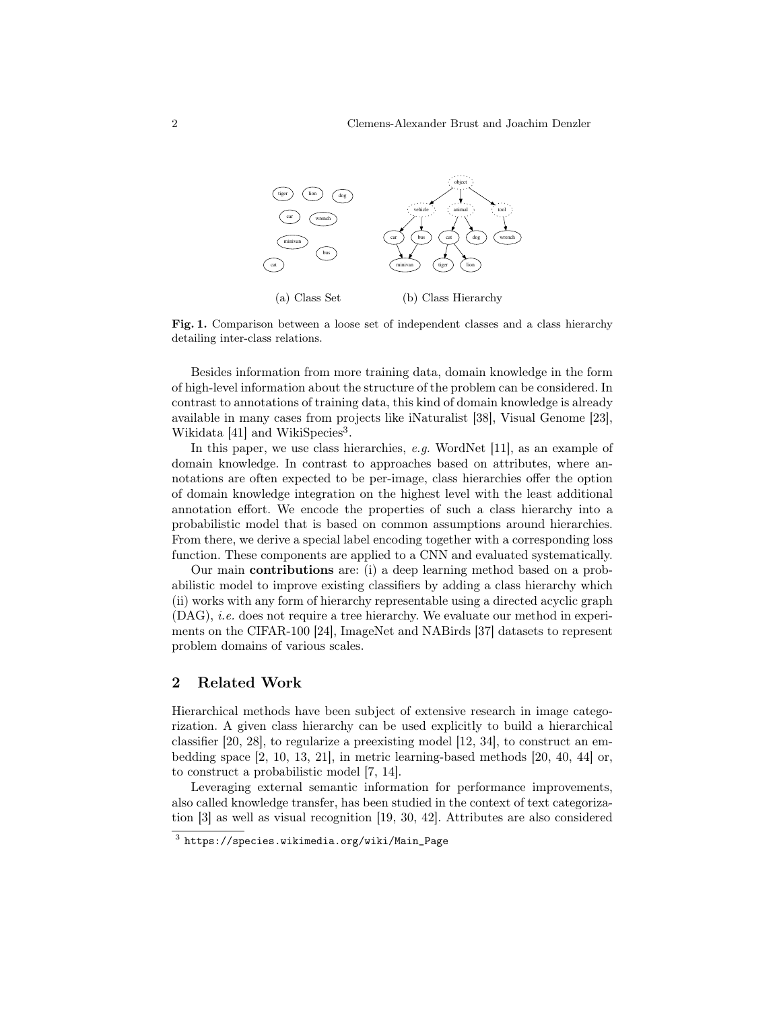

Fig. 1. Comparison between a loose set of independent classes and a class hierarchy detailing inter-class relations.

Besides information from more training data, domain knowledge in the form of high-level information about the structure of the problem can be considered. In contrast to annotations of training data, this kind of domain knowledge is already available in many cases from projects like iNaturalist [38], Visual Genome [23], Wikidata [41] and WikiSpecies<sup>3</sup>.

In this paper, we use class hierarchies, e.g. WordNet [11], as an example of domain knowledge. In contrast to approaches based on attributes, where annotations are often expected to be per-image, class hierarchies offer the option of domain knowledge integration on the highest level with the least additional annotation effort. We encode the properties of such a class hierarchy into a probabilistic model that is based on common assumptions around hierarchies. From there, we derive a special label encoding together with a corresponding loss function. These components are applied to a CNN and evaluated systematically.

Our main contributions are: (i) a deep learning method based on a probabilistic model to improve existing classifiers by adding a class hierarchy which (ii) works with any form of hierarchy representable using a directed acyclic graph (DAG), i.e. does not require a tree hierarchy. We evaluate our method in experiments on the CIFAR-100 [24], ImageNet and NABirds [37] datasets to represent problem domains of various scales.

# 2 Related Work

Hierarchical methods have been subject of extensive research in image categorization. A given class hierarchy can be used explicitly to build a hierarchical classifier [20, 28], to regularize a preexisting model [12, 34], to construct an embedding space [2, 10, 13, 21], in metric learning-based methods [20, 40, 44] or, to construct a probabilistic model [7, 14].

Leveraging external semantic information for performance improvements, also called knowledge transfer, has been studied in the context of text categorization [3] as well as visual recognition [19, 30, 42]. Attributes are also considered

 $^3$  https://species.wikimedia.org/wiki/Main\_Page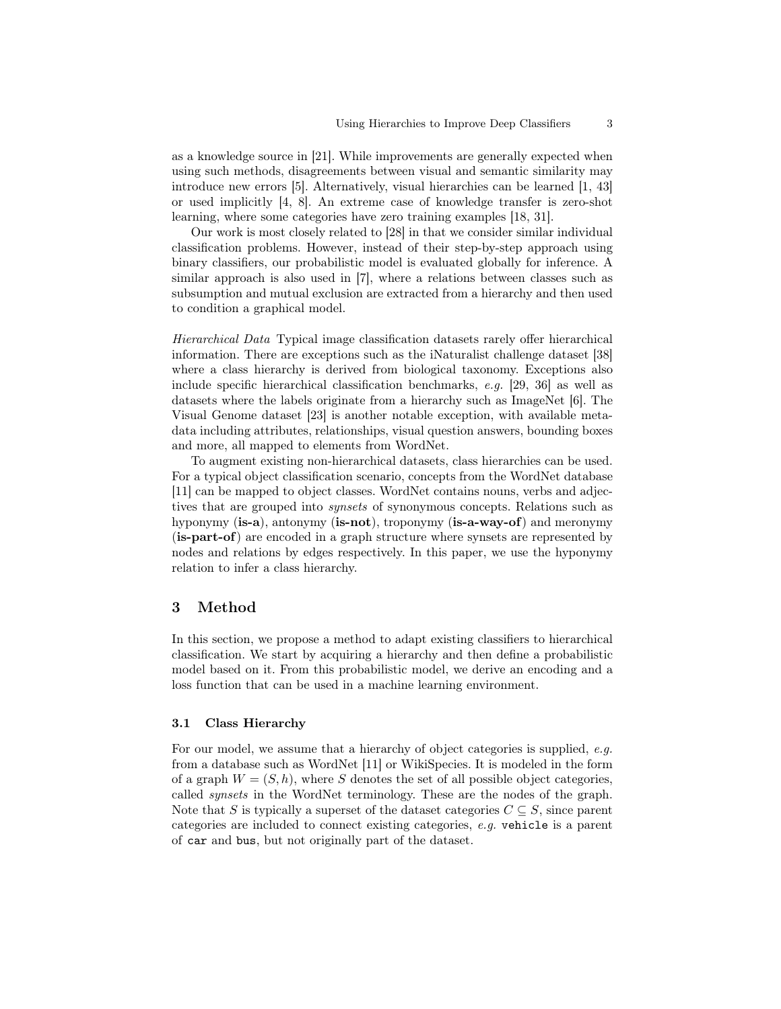as a knowledge source in [21]. While improvements are generally expected when using such methods, disagreements between visual and semantic similarity may introduce new errors [5]. Alternatively, visual hierarchies can be learned [1, 43] or used implicitly [4, 8]. An extreme case of knowledge transfer is zero-shot learning, where some categories have zero training examples [18, 31].

Our work is most closely related to [28] in that we consider similar individual classification problems. However, instead of their step-by-step approach using binary classifiers, our probabilistic model is evaluated globally for inference. A similar approach is also used in [7], where a relations between classes such as subsumption and mutual exclusion are extracted from a hierarchy and then used to condition a graphical model.

Hierarchical Data Typical image classification datasets rarely offer hierarchical information. There are exceptions such as the iNaturalist challenge dataset [38] where a class hierarchy is derived from biological taxonomy. Exceptions also include specific hierarchical classification benchmarks, e.g. [29, 36] as well as datasets where the labels originate from a hierarchy such as ImageNet [6]. The Visual Genome dataset [23] is another notable exception, with available metadata including attributes, relationships, visual question answers, bounding boxes and more, all mapped to elements from WordNet.

To augment existing non-hierarchical datasets, class hierarchies can be used. For a typical object classification scenario, concepts from the WordNet database [11] can be mapped to object classes. WordNet contains nouns, verbs and adjectives that are grouped into synsets of synonymous concepts. Relations such as hyponymy (is-a), antonymy (is-not), troponymy (is-a-way-of) and meronymy (is-part-of) are encoded in a graph structure where synsets are represented by nodes and relations by edges respectively. In this paper, we use the hyponymy relation to infer a class hierarchy.

# 3 Method

In this section, we propose a method to adapt existing classifiers to hierarchical classification. We start by acquiring a hierarchy and then define a probabilistic model based on it. From this probabilistic model, we derive an encoding and a loss function that can be used in a machine learning environment.

## 3.1 Class Hierarchy

For our model, we assume that a hierarchy of object categories is supplied, e.g. from a database such as WordNet [11] or WikiSpecies. It is modeled in the form of a graph  $W = (S, h)$ , where S denotes the set of all possible object categories, called synsets in the WordNet terminology. These are the nodes of the graph. Note that S is typically a superset of the dataset categories  $C \subseteq S$ , since parent categories are included to connect existing categories, e.g. vehicle is a parent of car and bus, but not originally part of the dataset.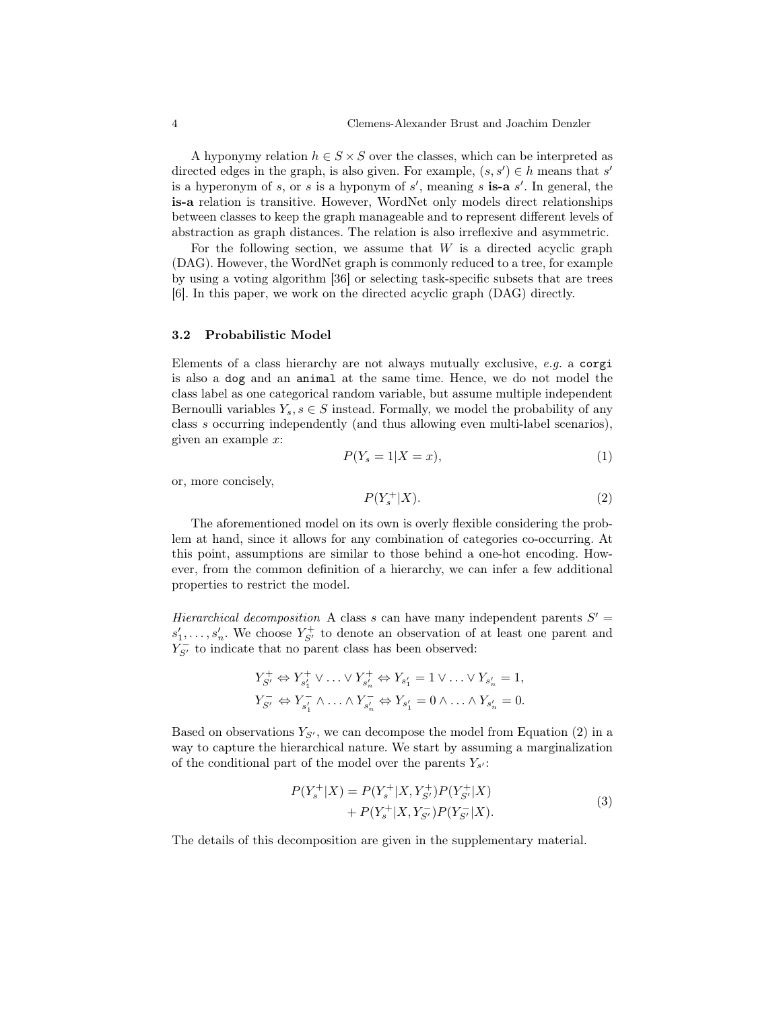A hyponymy relation  $h \in S \times S$  over the classes, which can be interpreted as directed edges in the graph, is also given. For example,  $(s, s') \in h$  means that s' is a hyperonym of s, or s is a hyponym of  $s'$ , meaning s is-a  $s'$ . In general, the is-a relation is transitive. However, WordNet only models direct relationships between classes to keep the graph manageable and to represent different levels of abstraction as graph distances. The relation is also irreflexive and asymmetric.

For the following section, we assume that  $W$  is a directed acyclic graph (DAG). However, the WordNet graph is commonly reduced to a tree, for example by using a voting algorithm [36] or selecting task-specific subsets that are trees [6]. In this paper, we work on the directed acyclic graph (DAG) directly.

#### 3.2 Probabilistic Model

Elements of a class hierarchy are not always mutually exclusive, e.g. a corgi is also a dog and an animal at the same time. Hence, we do not model the class label as one categorical random variable, but assume multiple independent Bernoulli variables  $Y_s$ ,  $s \in S$  instead. Formally, we model the probability of any class s occurring independently (and thus allowing even multi-label scenarios), given an example x:

$$
P(Y_s = 1 | X = x), \tag{1}
$$

or, more concisely,

$$
P(Y_s^+|X). \tag{2}
$$

The aforementioned model on its own is overly flexible considering the problem at hand, since it allows for any combination of categories co-occurring. At this point, assumptions are similar to those behind a one-hot encoding. However, from the common definition of a hierarchy, we can infer a few additional properties to restrict the model.

Hierarchical decomposition A class s can have many independent parents  $S'$  =  $s'_1, \ldots, s'_n$ . We choose  $Y_{S'}^+$  to denote an observation of at least one parent and  $Y_{S'}^-$  to indicate that no parent class has been observed:

$$
Y_{S'}^+ \Leftrightarrow Y_{s'_1}^+ \vee \ldots \vee Y_{s'_n}^+ \Leftrightarrow Y_{s'_1} = 1 \vee \ldots \vee Y_{s'_n} = 1,
$$
  

$$
Y_{S'}^- \Leftrightarrow Y_{s'_1}^- \wedge \ldots \wedge Y_{s'_n}^- \Leftrightarrow Y_{s'_1} = 0 \wedge \ldots \wedge Y_{s'_n} = 0.
$$

Based on observations  $Y_{S'}$ , we can decompose the model from Equation (2) in a way to capture the hierarchical nature. We start by assuming a marginalization of the conditional part of the model over the parents  $Y_{s'}$ :

$$
P(Y_s^+|X) = P(Y_s^+|X, Y_{S'}^+) P(Y_{S'}^+|X) + P(Y_s^+|X, Y_{S'}^-) P(Y_{S'}^-|X).
$$
\n(3)

The details of this decomposition are given in the supplementary material.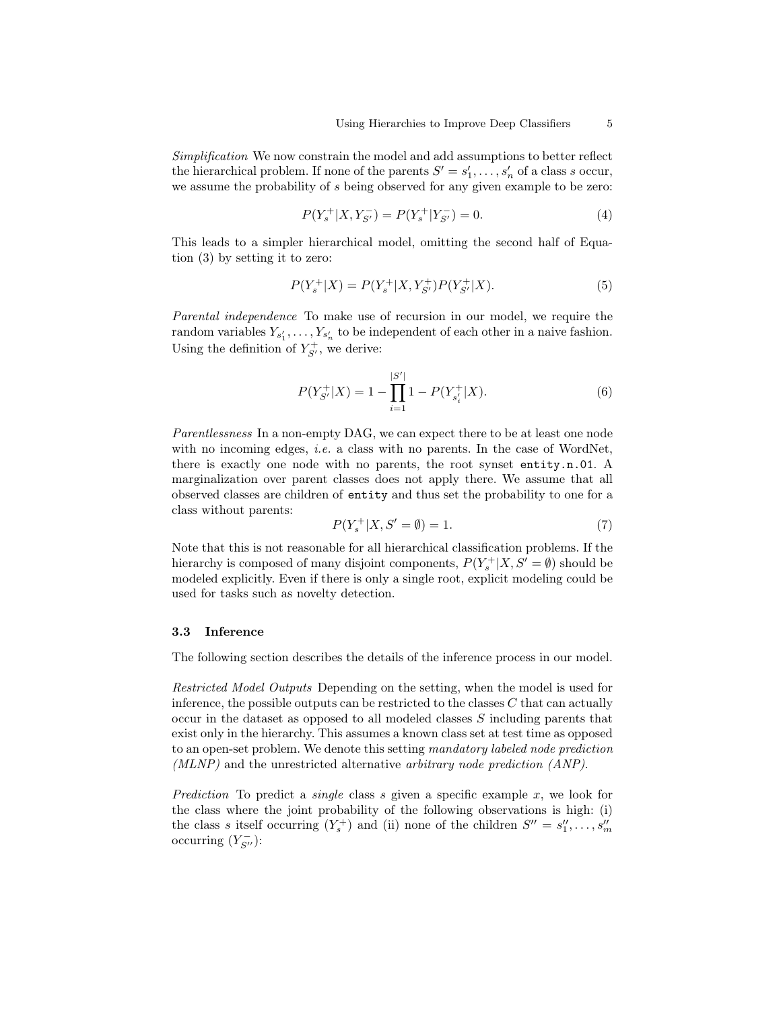Simplification We now constrain the model and add assumptions to better reflect the hierarchical problem. If none of the parents  $S' = s'_1, \ldots, s'_n$  of a class s occur, we assume the probability of s being observed for any given example to be zero:

$$
P(Y_s^+|X,Y_{S'}^-) = P(Y_s^+|Y_{S'}^-) = 0.
$$
\n<sup>(4)</sup>

This leads to a simpler hierarchical model, omitting the second half of Equation (3) by setting it to zero:

$$
P(Y_s^+|X) = P(Y_s^+|X, Y_{S'}^+)P(Y_{S'}^+|X). \tag{5}
$$

Parental independence To make use of recursion in our model, we require the random variables  $Y_{s'_1}, \ldots, Y_{s'_n}$  to be independent of each other in a naive fashion. Using the definition of  $Y_{S'}^+$ , we derive:

$$
P(Y_{S'}^{+}|X) = 1 - \prod_{i=1}^{|S'|} 1 - P(Y_{s_i'}^{+}|X).
$$
 (6)

Parentlessness In a non-empty DAG, we can expect there to be at least one node with no incoming edges, *i.e.* a class with no parents. In the case of WordNet, there is exactly one node with no parents, the root synset entity.n.01. A marginalization over parent classes does not apply there. We assume that all observed classes are children of entity and thus set the probability to one for a class without parents:

$$
P(Y_s^+|X, S' = \emptyset) = 1.
$$
\n<sup>(7)</sup>

Note that this is not reasonable for all hierarchical classification problems. If the hierarchy is composed of many disjoint components,  $P(Y_s^+|X, S' = \emptyset)$  should be modeled explicitly. Even if there is only a single root, explicit modeling could be used for tasks such as novelty detection.

#### 3.3 Inference

The following section describes the details of the inference process in our model.

Restricted Model Outputs Depending on the setting, when the model is used for inference, the possible outputs can be restricted to the classes  $C$  that can actually occur in the dataset as opposed to all modeled classes S including parents that exist only in the hierarchy. This assumes a known class set at test time as opposed to an open-set problem. We denote this setting mandatory labeled node prediction (MLNP) and the unrestricted alternative arbitrary node prediction (ANP).

Prediction To predict a single class s given a specific example  $x$ , we look for the class where the joint probability of the following observations is high: (i) the class s itself occurring  $(Y_s^+)$  and (ii) none of the children  $S'' = s_1'', \ldots, s_m''$ occurring  $(Y_{S''}^-)$ :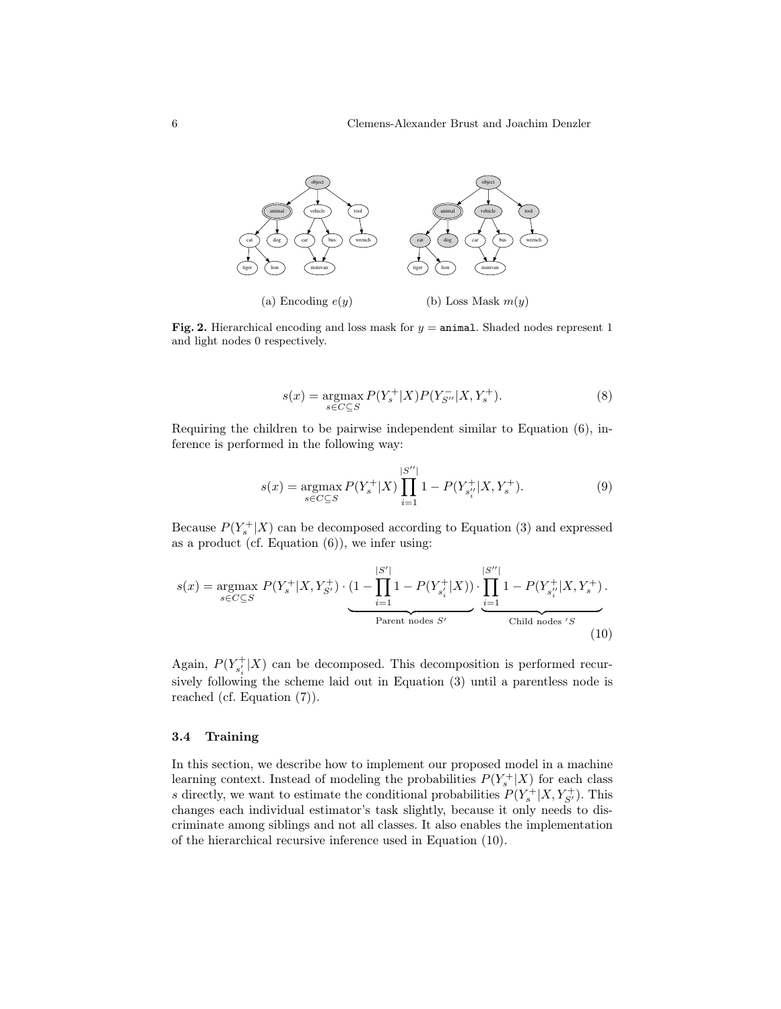

Fig. 2. Hierarchical encoding and loss mask for  $y =$  animal. Shaded nodes represent 1 and light nodes 0 respectively.

$$
s(x) = \underset{s \in C \subseteq S}{\text{argmax}} P(Y_s^+ | X) P(Y_{S''}^- | X, Y_s^+). \tag{8}
$$

Requiring the children to be pairwise independent similar to Equation (6), inference is performed in the following way:

$$
s(x) = \underset{s \in C \subseteq S}{\operatorname{argmax}} P(Y_s^+ | X) \prod_{i=1}^{|S''|} 1 - P(Y_{s_i''}^+ | X, Y_s^+). \tag{9}
$$

Because  $P(Y_s^+|X)$  can be decomposed according to Equation (3) and expressed as a product (cf. Equation  $(6)$ ), we infer using:

$$
s(x) = \underset{s \in C \subseteq S}{\text{argmax}} P(Y_s^+ | X, Y_{S'}^+) \cdot \underbrace{(1 - \prod_{i=1}^{|S'|} 1 - P(Y_{s'_i}^+ | X))}_{\text{Parent nodes } S'} \cdot \underbrace{\prod_{i=1}^{|S''|} 1 - P(Y_{s''_i}^+ | X, Y_s^+)}_{\text{Child nodes } S'}.
$$
\n(10)

Again,  $P(Y_{s_i'}^+|X)$  can be decomposed. This decomposition is performed recursively following the scheme laid out in Equation (3) until a parentless node is reached (cf. Equation (7)).

## 3.4 Training

In this section, we describe how to implement our proposed model in a machine learning context. Instead of modeling the probabilities  $P(Y_s^+|X)$  for each class s directly, we want to estimate the conditional probabilities  $P(Y_s^+|X, Y_{S'}^+)$ . This changes each individual estimator's task slightly, because it only needs to discriminate among siblings and not all classes. It also enables the implementation of the hierarchical recursive inference used in Equation (10).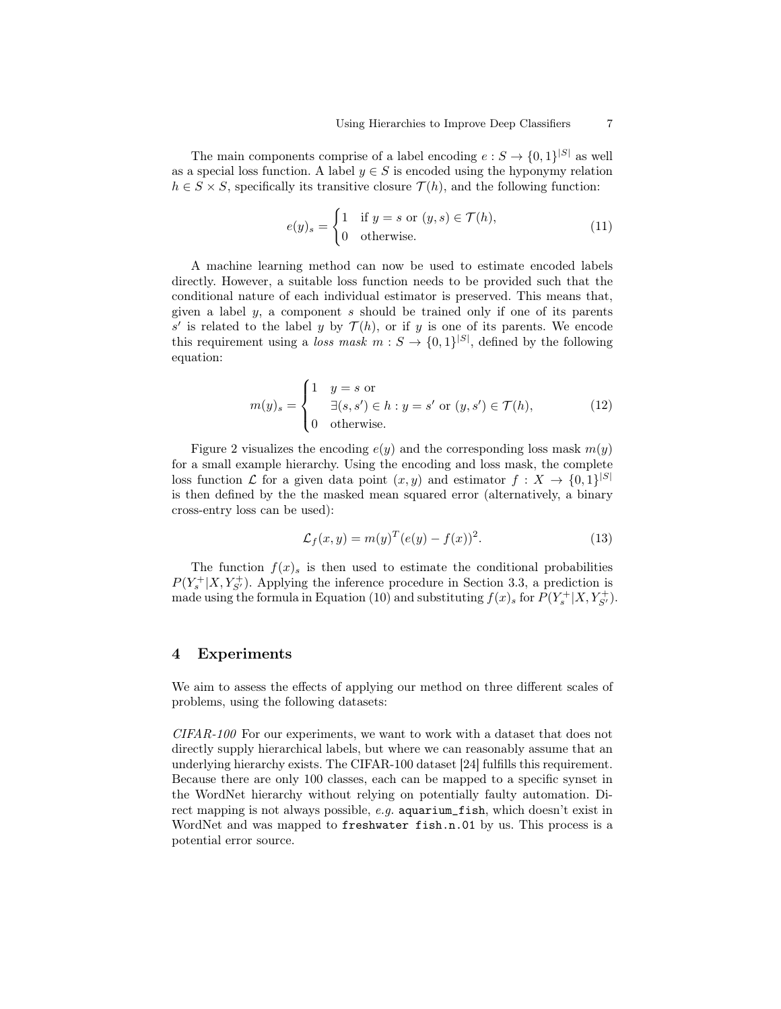The main components comprise of a label encoding  $e: S \to \{0,1\}^{|S|}$  as well as a special loss function. A label  $y \in S$  is encoded using the hyponymy relation  $h \in S \times S$ , specifically its transitive closure  $\mathcal{T}(h)$ , and the following function:

$$
e(y)_s = \begin{cases} 1 & \text{if } y = s \text{ or } (y, s) \in \mathcal{T}(h), \\ 0 & \text{otherwise.} \end{cases}
$$
 (11)

A machine learning method can now be used to estimate encoded labels directly. However, a suitable loss function needs to be provided such that the conditional nature of each individual estimator is preserved. This means that, given a label  $y$ , a component s should be trained only if one of its parents s' is related to the label y by  $\mathcal{T}(h)$ , or if y is one of its parents. We encode this requirement using a *loss mask*  $m : S \to \{0,1\}^{|S|}$ , defined by the following equation:

$$
m(y)_s = \begin{cases} 1 & y = s \text{ or} \\ & \exists (s, s') \in h : y = s' \text{ or } (y, s') \in \mathcal{T}(h), \\ 0 & \text{otherwise.} \end{cases}
$$
(12)

Figure 2 visualizes the encoding  $e(y)$  and the corresponding loss mask  $m(y)$ for a small example hierarchy. Using the encoding and loss mask, the complete loss function  $\mathcal L$  for a given data point  $(x, y)$  and estimator  $f: X \to \{0, 1\}^{|\mathcal S|}$ is then defined by the the masked mean squared error (alternatively, a binary cross-entry loss can be used):

$$
\mathcal{L}_f(x, y) = m(y)^T (e(y) - f(x))^2.
$$
\n(13)

The function  $f(x)$  is then used to estimate the conditional probabilities  $P(Y_s^+|X, Y_{S'}^+)$ . Applying the inference procedure in Section 3.3, a prediction is made using the formula in Equation (10) and substituting  $f(x)$  for  $P(Y_s^+ | X, Y_{S'}^+)$ .

## 4 Experiments

We aim to assess the effects of applying our method on three different scales of problems, using the following datasets:

CIFAR-100 For our experiments, we want to work with a dataset that does not directly supply hierarchical labels, but where we can reasonably assume that an underlying hierarchy exists. The CIFAR-100 dataset [24] fulfills this requirement. Because there are only 100 classes, each can be mapped to a specific synset in the WordNet hierarchy without relying on potentially faulty automation. Direct mapping is not always possible, e.g. aquarium\_fish, which doesn't exist in WordNet and was mapped to freshwater fish.n.01 by us. This process is a potential error source.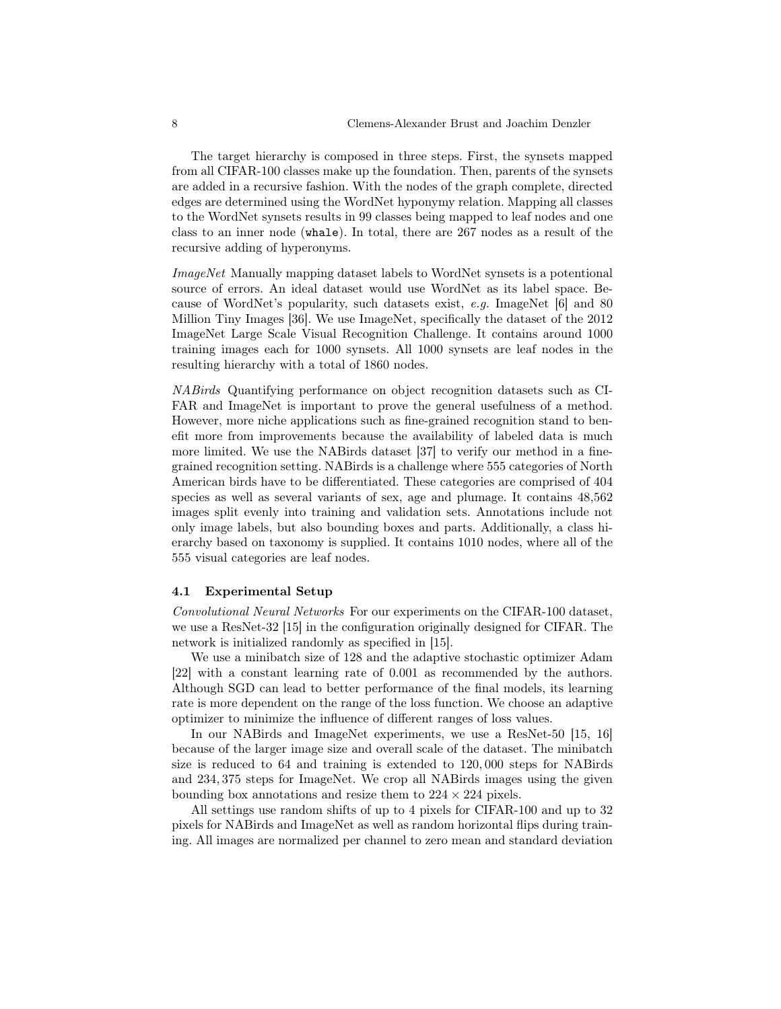The target hierarchy is composed in three steps. First, the synsets mapped from all CIFAR-100 classes make up the foundation. Then, parents of the synsets are added in a recursive fashion. With the nodes of the graph complete, directed edges are determined using the WordNet hyponymy relation. Mapping all classes to the WordNet synsets results in 99 classes being mapped to leaf nodes and one class to an inner node (whale). In total, there are 267 nodes as a result of the recursive adding of hyperonyms.

ImageNet Manually mapping dataset labels to WordNet synsets is a potentional source of errors. An ideal dataset would use WordNet as its label space. Because of WordNet's popularity, such datasets exist, e.g. ImageNet [6] and 80 Million Tiny Images [36]. We use ImageNet, specifically the dataset of the 2012 ImageNet Large Scale Visual Recognition Challenge. It contains around 1000 training images each for 1000 synsets. All 1000 synsets are leaf nodes in the resulting hierarchy with a total of 1860 nodes.

NABirds Quantifying performance on object recognition datasets such as CI-FAR and ImageNet is important to prove the general usefulness of a method. However, more niche applications such as fine-grained recognition stand to benefit more from improvements because the availability of labeled data is much more limited. We use the NABirds dataset [37] to verify our method in a finegrained recognition setting. NABirds is a challenge where 555 categories of North American birds have to be differentiated. These categories are comprised of 404 species as well as several variants of sex, age and plumage. It contains 48,562 images split evenly into training and validation sets. Annotations include not only image labels, but also bounding boxes and parts. Additionally, a class hierarchy based on taxonomy is supplied. It contains 1010 nodes, where all of the 555 visual categories are leaf nodes.

#### 4.1 Experimental Setup

Convolutional Neural Networks For our experiments on the CIFAR-100 dataset, we use a ResNet-32 [15] in the configuration originally designed for CIFAR. The network is initialized randomly as specified in [15].

We use a minibatch size of 128 and the adaptive stochastic optimizer Adam [22] with a constant learning rate of 0.001 as recommended by the authors. Although SGD can lead to better performance of the final models, its learning rate is more dependent on the range of the loss function. We choose an adaptive optimizer to minimize the influence of different ranges of loss values.

In our NABirds and ImageNet experiments, we use a ResNet-50 [15, 16] because of the larger image size and overall scale of the dataset. The minibatch size is reduced to 64 and training is extended to 120, 000 steps for NABirds and 234, 375 steps for ImageNet. We crop all NABirds images using the given bounding box annotations and resize them to  $224 \times 224$  pixels.

All settings use random shifts of up to 4 pixels for CIFAR-100 and up to 32 pixels for NABirds and ImageNet as well as random horizontal flips during training. All images are normalized per channel to zero mean and standard deviation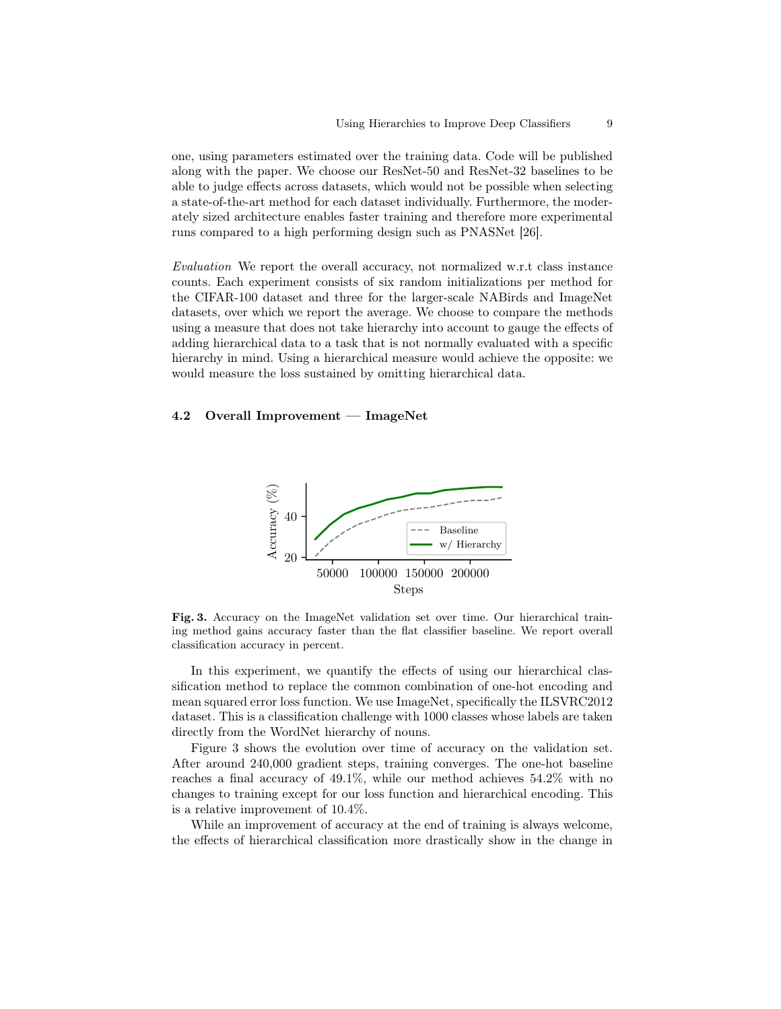one, using parameters estimated over the training data. Code will be published along with the paper. We choose our ResNet-50 and ResNet-32 baselines to be able to judge effects across datasets, which would not be possible when selecting a state-of-the-art method for each dataset individually. Furthermore, the moderately sized architecture enables faster training and therefore more experimental runs compared to a high performing design such as PNASNet [26].

Evaluation We report the overall accuracy, not normalized w.r.t class instance counts. Each experiment consists of six random initializations per method for the CIFAR-100 dataset and three for the larger-scale NABirds and ImageNet datasets, over which we report the average. We choose to compare the methods using a measure that does not take hierarchy into account to gauge the effects of adding hierarchical data to a task that is not normally evaluated with a specific hierarchy in mind. Using a hierarchical measure would achieve the opposite: we would measure the loss sustained by omitting hierarchical data.

#### 4.2 Overall Improvement — ImageNet



Fig. 3. Accuracy on the ImageNet validation set over time. Our hierarchical training method gains accuracy faster than the flat classifier baseline. We report overall classification accuracy in percent.

In this experiment, we quantify the effects of using our hierarchical classification method to replace the common combination of one-hot encoding and mean squared error loss function. We use ImageNet, specifically the ILSVRC2012 dataset. This is a classification challenge with 1000 classes whose labels are taken directly from the WordNet hierarchy of nouns.

Figure 3 shows the evolution over time of accuracy on the validation set. After around 240,000 gradient steps, training converges. The one-hot baseline reaches a final accuracy of 49.1%, while our method achieves 54.2% with no changes to training except for our loss function and hierarchical encoding. This is a relative improvement of 10.4%.

While an improvement of accuracy at the end of training is always welcome, the effects of hierarchical classification more drastically show in the change in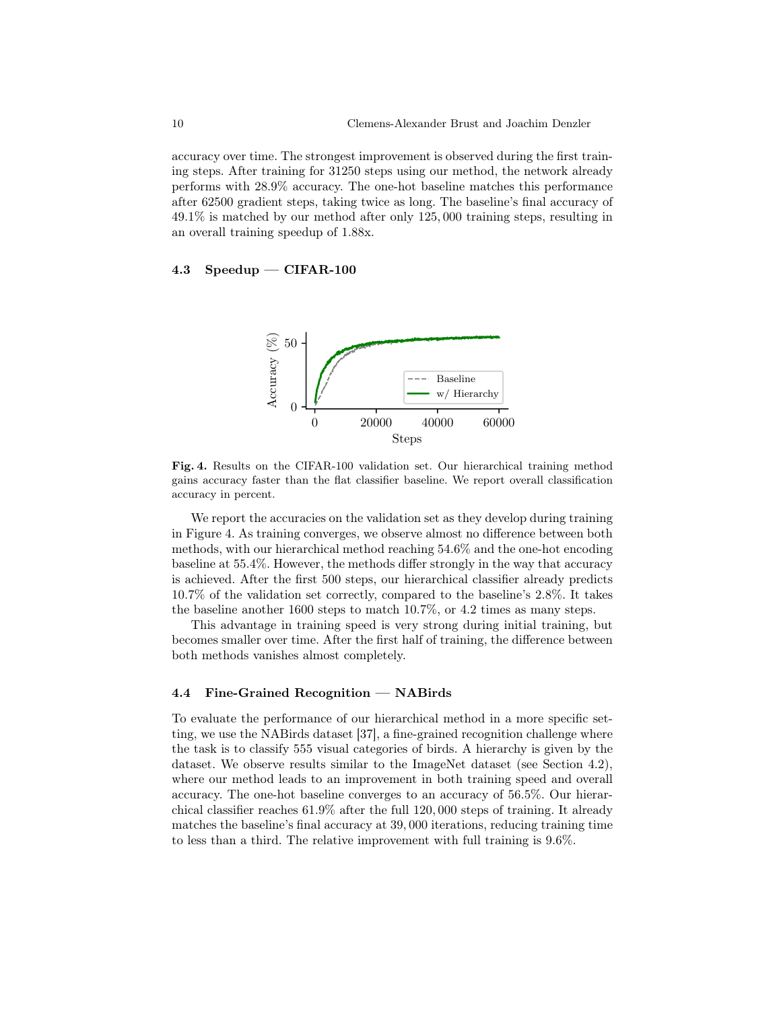accuracy over time. The strongest improvement is observed during the first training steps. After training for 31250 steps using our method, the network already performs with 28.9% accuracy. The one-hot baseline matches this performance after 62500 gradient steps, taking twice as long. The baseline's final accuracy of 49.1% is matched by our method after only 125, 000 training steps, resulting in an overall training speedup of 1.88x.

## 4.3 Speedup — CIFAR-100



Fig. 4. Results on the CIFAR-100 validation set. Our hierarchical training method gains accuracy faster than the flat classifier baseline. We report overall classification accuracy in percent.

We report the accuracies on the validation set as they develop during training in Figure 4. As training converges, we observe almost no difference between both methods, with our hierarchical method reaching 54.6% and the one-hot encoding baseline at 55.4%. However, the methods differ strongly in the way that accuracy is achieved. After the first 500 steps, our hierarchical classifier already predicts 10.7% of the validation set correctly, compared to the baseline's 2.8%. It takes the baseline another 1600 steps to match 10.7%, or 4.2 times as many steps.

This advantage in training speed is very strong during initial training, but becomes smaller over time. After the first half of training, the difference between both methods vanishes almost completely.

# 4.4 Fine-Grained Recognition — NABirds

To evaluate the performance of our hierarchical method in a more specific setting, we use the NABirds dataset [37], a fine-grained recognition challenge where the task is to classify 555 visual categories of birds. A hierarchy is given by the dataset. We observe results similar to the ImageNet dataset (see Section 4.2), where our method leads to an improvement in both training speed and overall accuracy. The one-hot baseline converges to an accuracy of 56.5%. Our hierarchical classifier reaches 61.9% after the full 120, 000 steps of training. It already matches the baseline's final accuracy at 39, 000 iterations, reducing training time to less than a third. The relative improvement with full training is 9.6%.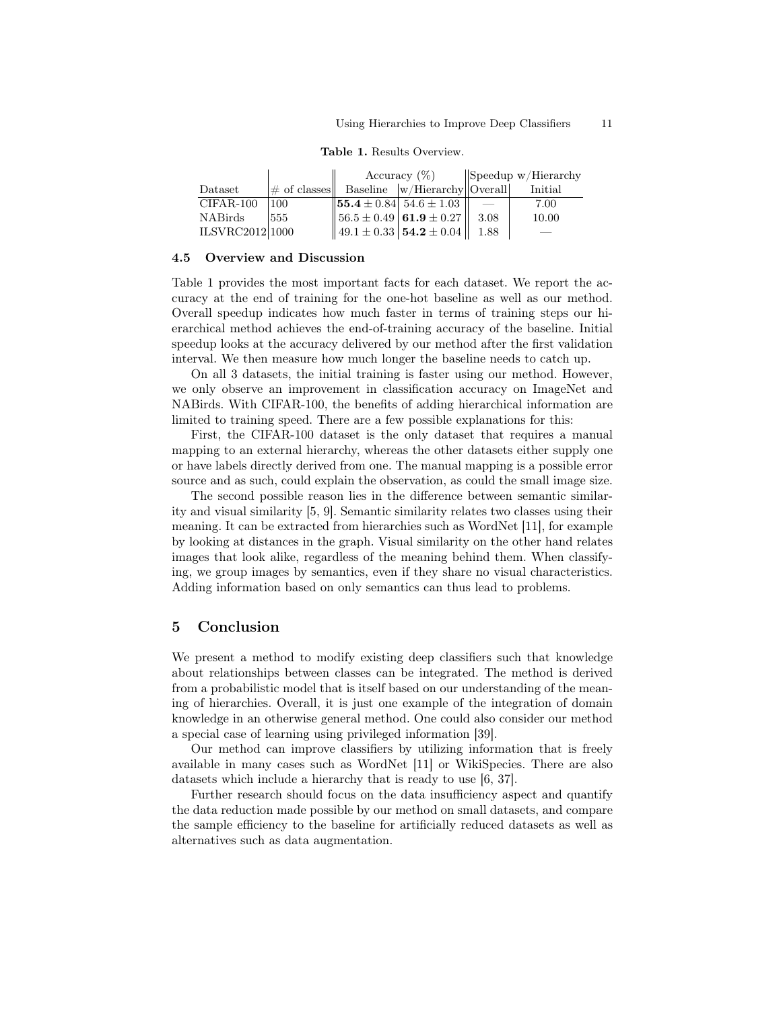|                 |      | Accuracy $(\%)$ |                                                    | $\ \$ Speedup w/Hierarchy |         |
|-----------------|------|-----------------|----------------------------------------------------|---------------------------|---------|
| Dataset         |      |                 | $\#$ of classes Baseline $\ w/H\$ ierarchy Overall |                           | Initial |
| CIFAR-100       | 1100 |                 | $\ $ 55.4 ± 0.84 54.6 ± 1.03 $\ $                  |                           | 7.00    |
| NABirds         | 555  |                 | $\ 56.5 \pm 0.49 \, \, 61.9 \pm 0.27 \, \,$        | -3.08                     | 10.00   |
| ILSVRC2012 1000 |      |                 | $\ 49.1\pm0.33\ $ 54.2 $\pm 0.04\ $                | -1.88                     |         |

#### 4.5 Overview and Discussion

Table 1 provides the most important facts for each dataset. We report the accuracy at the end of training for the one-hot baseline as well as our method. Overall speedup indicates how much faster in terms of training steps our hierarchical method achieves the end-of-training accuracy of the baseline. Initial speedup looks at the accuracy delivered by our method after the first validation interval. We then measure how much longer the baseline needs to catch up.

On all 3 datasets, the initial training is faster using our method. However, we only observe an improvement in classification accuracy on ImageNet and NABirds. With CIFAR-100, the benefits of adding hierarchical information are limited to training speed. There are a few possible explanations for this:

First, the CIFAR-100 dataset is the only dataset that requires a manual mapping to an external hierarchy, whereas the other datasets either supply one or have labels directly derived from one. The manual mapping is a possible error source and as such, could explain the observation, as could the small image size.

The second possible reason lies in the difference between semantic similarity and visual similarity [5, 9]. Semantic similarity relates two classes using their meaning. It can be extracted from hierarchies such as WordNet [11], for example by looking at distances in the graph. Visual similarity on the other hand relates images that look alike, regardless of the meaning behind them. When classifying, we group images by semantics, even if they share no visual characteristics. Adding information based on only semantics can thus lead to problems.

# 5 Conclusion

We present a method to modify existing deep classifiers such that knowledge about relationships between classes can be integrated. The method is derived from a probabilistic model that is itself based on our understanding of the meaning of hierarchies. Overall, it is just one example of the integration of domain knowledge in an otherwise general method. One could also consider our method a special case of learning using privileged information [39].

Our method can improve classifiers by utilizing information that is freely available in many cases such as WordNet [11] or WikiSpecies. There are also datasets which include a hierarchy that is ready to use [6, 37].

Further research should focus on the data insufficiency aspect and quantify the data reduction made possible by our method on small datasets, and compare the sample efficiency to the baseline for artificially reduced datasets as well as alternatives such as data augmentation.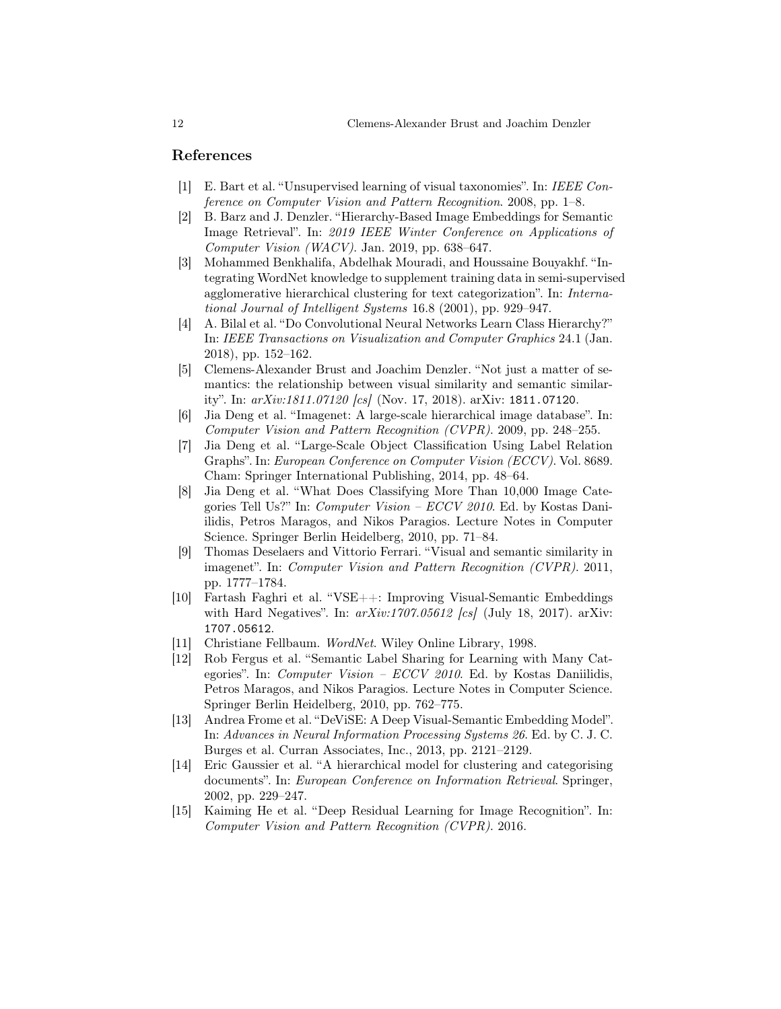# References

- [1] E. Bart et al. "Unsupervised learning of visual taxonomies". In: IEEE Conference on Computer Vision and Pattern Recognition. 2008, pp. 1–8.
- [2] B. Barz and J. Denzler. "Hierarchy-Based Image Embeddings for Semantic Image Retrieval". In: 2019 IEEE Winter Conference on Applications of  $Computer Vision (WACV)$ . Jan. 2019, pp. 638–647.
- [3] Mohammed Benkhalifa, Abdelhak Mouradi, and Houssaine Bouyakhf. "Integrating WordNet knowledge to supplement training data in semi-supervised agglomerative hierarchical clustering for text categorization". In: International Journal of Intelligent Systems 16.8 (2001), pp. 929–947.
- [4] A. Bilal et al. "Do Convolutional Neural Networks Learn Class Hierarchy?" In: IEEE Transactions on Visualization and Computer Graphics 24.1 (Jan. 2018), pp. 152–162.
- [5] Clemens-Alexander Brust and Joachim Denzler. "Not just a matter of semantics: the relationship between visual similarity and semantic similarity". In: arXiv:1811.07120 [cs] (Nov. 17, 2018). arXiv: 1811.07120.
- [6] Jia Deng et al. "Imagenet: A large-scale hierarchical image database". In: Computer Vision and Pattern Recognition (CVPR). 2009, pp. 248–255.
- [7] Jia Deng et al. "Large-Scale Object Classification Using Label Relation Graphs". In: European Conference on Computer Vision (ECCV). Vol. 8689. Cham: Springer International Publishing, 2014, pp. 48–64.
- [8] Jia Deng et al. "What Does Classifying More Than 10,000 Image Categories Tell Us?" In: Computer Vision – ECCV 2010. Ed. by Kostas Daniilidis, Petros Maragos, and Nikos Paragios. Lecture Notes in Computer Science. Springer Berlin Heidelberg, 2010, pp. 71–84.
- [9] Thomas Deselaers and Vittorio Ferrari. "Visual and semantic similarity in imagenet". In: Computer Vision and Pattern Recognition (CVPR). 2011, pp. 1777–1784.
- [10] Fartash Faghri et al. "VSE++: Improving Visual-Semantic Embeddings with Hard Negatives". In:  $arXiv:1707.05612$  [cs] (July 18, 2017). arXiv: 1707.05612.
- [11] Christiane Fellbaum. WordNet. Wiley Online Library, 1998.
- [12] Rob Fergus et al. "Semantic Label Sharing for Learning with Many Categories". In: *Computer Vision – ECCV 2010*. Ed. by Kostas Daniilidis, Petros Maragos, and Nikos Paragios. Lecture Notes in Computer Science. Springer Berlin Heidelberg, 2010, pp. 762–775.
- [13] Andrea Frome et al. "DeViSE: A Deep Visual-Semantic Embedding Model". In: Advances in Neural Information Processing Systems 26. Ed. by C. J. C. Burges et al. Curran Associates, Inc., 2013, pp. 2121–2129.
- [14] Eric Gaussier et al. "A hierarchical model for clustering and categorising documents". In: European Conference on Information Retrieval. Springer, 2002, pp. 229–247.
- [15] Kaiming He et al. "Deep Residual Learning for Image Recognition". In: Computer Vision and Pattern Recognition (CVPR). 2016.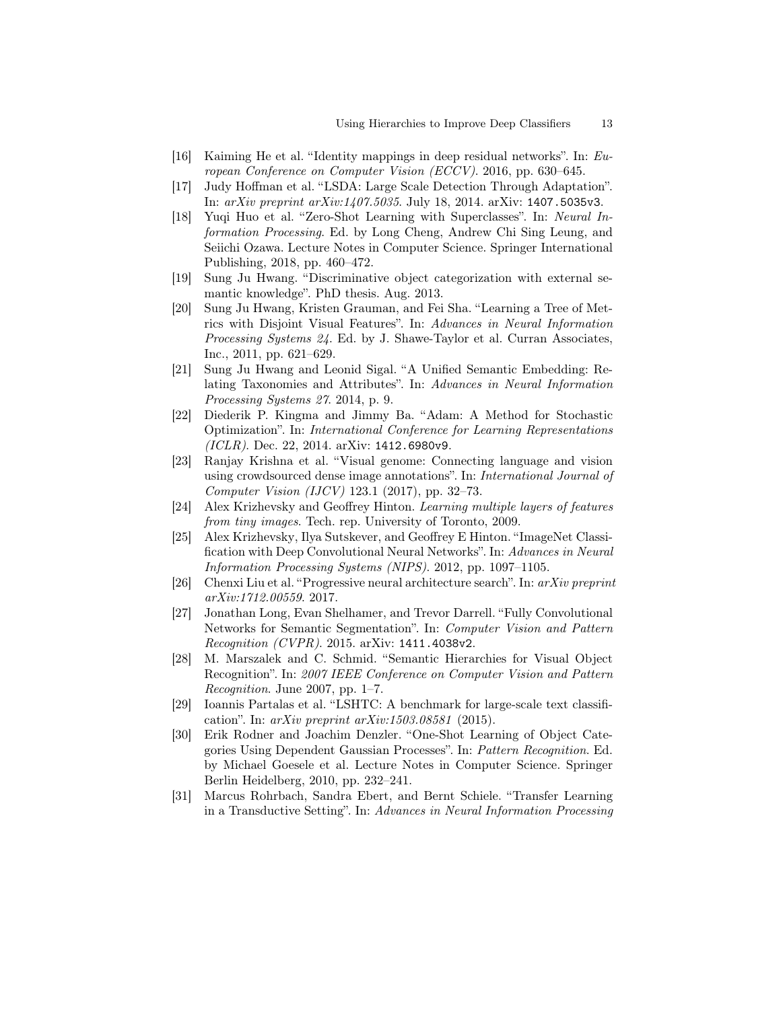- [16] Kaiming He et al. "Identity mappings in deep residual networks". In: European Conference on Computer Vision (ECCV). 2016, pp. 630–645.
- [17] Judy Hoffman et al. "LSDA: Large Scale Detection Through Adaptation". In: arXiv preprint arXiv:1407.5035. July 18, 2014. arXiv: 1407.5035v3.
- [18] Yuqi Huo et al. "Zero-Shot Learning with Superclasses". In: Neural Information Processing. Ed. by Long Cheng, Andrew Chi Sing Leung, and Seiichi Ozawa. Lecture Notes in Computer Science. Springer International Publishing, 2018, pp. 460–472.
- [19] Sung Ju Hwang. "Discriminative object categorization with external semantic knowledge". PhD thesis. Aug. 2013.
- [20] Sung Ju Hwang, Kristen Grauman, and Fei Sha. "Learning a Tree of Metrics with Disjoint Visual Features". In: Advances in Neural Information Processing Systems 24. Ed. by J. Shawe-Taylor et al. Curran Associates, Inc., 2011, pp. 621–629.
- [21] Sung Ju Hwang and Leonid Sigal. "A Unified Semantic Embedding: Relating Taxonomies and Attributes". In: Advances in Neural Information Processing Systems 27. 2014, p. 9.
- [22] Diederik P. Kingma and Jimmy Ba. "Adam: A Method for Stochastic Optimization". In: International Conference for Learning Representations  $(ICLR)$ . Dec. 22, 2014. arXiv: 1412.6980v9.
- [23] Ranjay Krishna et al. "Visual genome: Connecting language and vision using crowdsourced dense image annotations". In: International Journal of Computer Vision (IJCV) 123.1 (2017), pp. 32–73.
- [24] Alex Krizhevsky and Geoffrey Hinton. Learning multiple layers of features from tiny images. Tech. rep. University of Toronto, 2009.
- [25] Alex Krizhevsky, Ilya Sutskever, and Geoffrey E Hinton. "ImageNet Classification with Deep Convolutional Neural Networks". In: Advances in Neural Information Processing Systems (NIPS). 2012, pp. 1097–1105.
- [26] Chenxi Liu et al. "Progressive neural architecture search". In: arXiv preprint arXiv:1712.00559. 2017.
- [27] Jonathan Long, Evan Shelhamer, and Trevor Darrell. "Fully Convolutional Networks for Semantic Segmentation". In: Computer Vision and Pattern Recognition (CVPR). 2015. arXiv: 1411.4038v2.
- [28] M. Marszalek and C. Schmid. "Semantic Hierarchies for Visual Object Recognition". In: 2007 IEEE Conference on Computer Vision and Pattern Recognition. June 2007, pp. 1–7.
- [29] Ioannis Partalas et al. "LSHTC: A benchmark for large-scale text classification". In:  $arXiv$  preprint  $arXiv:1503.08581$  (2015).
- [30] Erik Rodner and Joachim Denzler. "One-Shot Learning of Object Categories Using Dependent Gaussian Processes". In: Pattern Recognition. Ed. by Michael Goesele et al. Lecture Notes in Computer Science. Springer Berlin Heidelberg, 2010, pp. 232–241.
- [31] Marcus Rohrbach, Sandra Ebert, and Bernt Schiele. "Transfer Learning in a Transductive Setting". In: Advances in Neural Information Processing